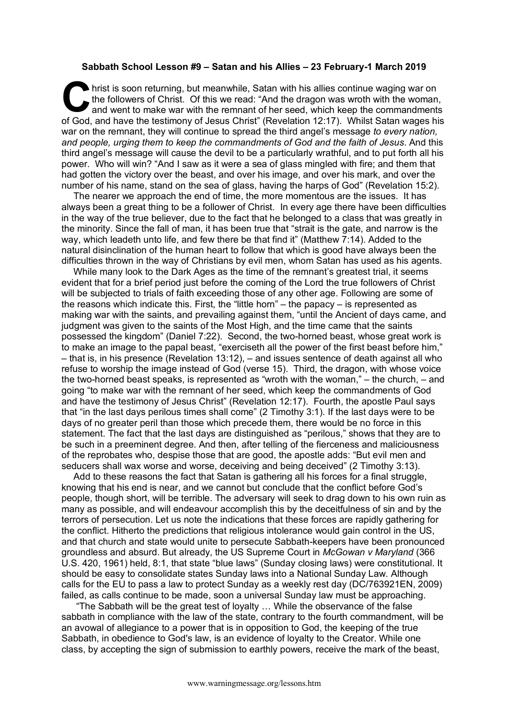## **Sabbath School Lesson #9 – Satan and his Allies – 23 February-1 March 2019**

hrist is soon returning, but meanwhile, Satan with his allies continue waging war on the followers of Christ. Of this we read: "And the dragon was wroth with the woman, and went to make war with the remnant of her seed, which keep the commandments It have the followers of Christ. Of this we read: "And the dragon was wroth with the woman, and went to make war with the remnant of her seed, which keep the commandments of God, and have the testimony of Jesus Christ" (Re war on the remnant, they will continue to spread the third angel's message *to every nation, and people, urging them to keep the commandments of God and the faith of Jesus*. And this third angel's message will cause the devil to be a particularly wrathful, and to put forth all his power. Who will win? "And I saw as it were a sea of glass mingled with fire; and them that had gotten the victory over the beast, and over his image, and over his mark, and over the number of his name, stand on the sea of glass, having the harps of God" (Revelation 15:2).

The nearer we approach the end of time, the more momentous are the issues. It has always been a great thing to be a follower of Christ. In every age there have been difficulties in the way of the true believer, due to the fact that he belonged to a class that was greatly in the minority. Since the fall of man, it has been true that "strait is the gate, and narrow is the way, which leadeth unto life, and few there be that find it" (Matthew 7:14). Added to the natural disinclination of the human heart to follow that which is good have always been the difficulties thrown in the way of Christians by evil men, whom Satan has used as his agents.

While many look to the Dark Ages as the time of the remnant's greatest trial, it seems evident that for a brief period just before the coming of the Lord the true followers of Christ will be subjected to trials of faith exceeding those of any other age. Following are some of the reasons which indicate this. First, the "little horn" – the papacy – is represented as making war with the saints, and prevailing against them, "until the Ancient of days came, and judgment was given to the saints of the Most High, and the time came that the saints possessed the kingdom" (Daniel 7:22). Second, the two-horned beast, whose great work is to make an image to the papal beast, "exerciseth all the power of the first beast before him," – that is, in his presence (Revelation 13:12), – and issues sentence of death against all who refuse to worship the image instead of God (verse 15). Third, the dragon, with whose voice the two-horned beast speaks, is represented as "wroth with the woman," – the church, – and going "to make war with the remnant of her seed, which keep the commandments of God and have the testimony of Jesus Christ" (Revelation 12:17). Fourth, the apostle Paul says that "in the last days perilous times shall come" (2 Timothy 3:1). If the last days were to be days of no greater peril than those which precede them, there would be no force in this statement. The fact that the last days are distinguished as "perilous," shows that they are to be such in a preeminent degree. And then, after telling of the fierceness and maliciousness of the reprobates who, despise those that are good, the apostle adds: "But evil men and seducers shall wax worse and worse, deceiving and being deceived" (2 Timothy 3:13).

Add to these reasons the fact that Satan is gathering all his forces for a final struggle, knowing that his end is near, and we cannot but conclude that the conflict before God's people, though short, will be terrible. The adversary will seek to drag down to his own ruin as many as possible, and will endeavour accomplish this by the deceitfulness of sin and by the terrors of persecution. Let us note the indications that these forces are rapidly gathering for the conflict. Hitherto the predictions that religious intolerance would gain control in the US, and that church and state would unite to persecute Sabbath-keepers have been pronounced groundless and absurd. But already, the US Supreme Court in *McGowan v Maryland* (366 U.S. 420, 1961) held, 8:1, that state "blue laws" (Sunday closing laws) were constitutional. It should be easy to consolidate states Sunday laws into a National Sunday Law. Although calls for the EU to pass a law to protect Sunday as a weekly rest day (DC/763921EN, 2009) failed, as calls continue to be made, soon a universal Sunday law must be approaching.

"The Sabbath will be the great test of loyalty … While the observance of the false sabbath in compliance with the law of the state, contrary to the fourth commandment, will be an avowal of allegiance to a power that is in opposition to God, the keeping of the true Sabbath, in obedience to God's law, is an evidence of loyalty to the Creator. While one class, by accepting the sign of submission to earthly powers, receive the mark of the beast,